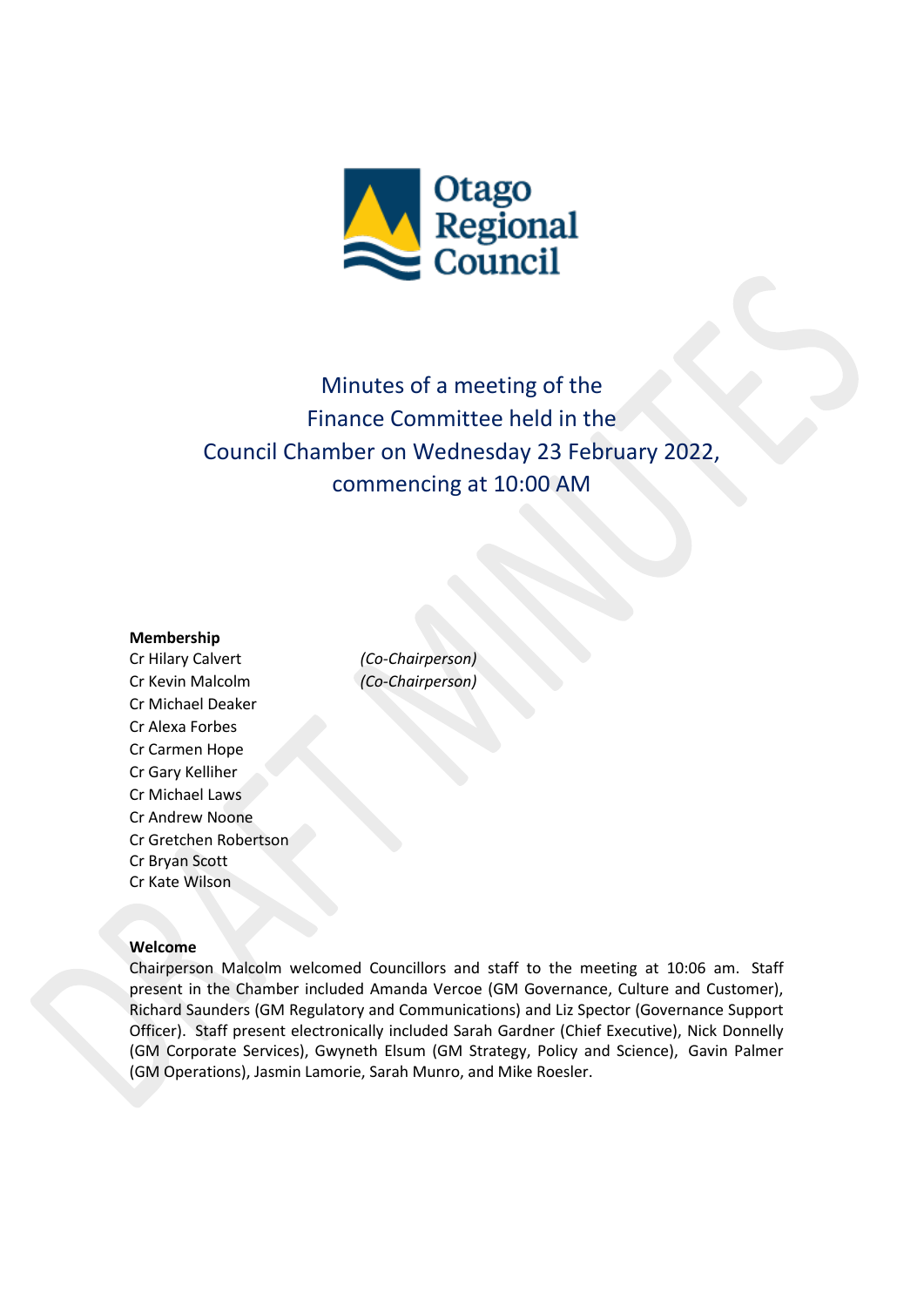

# Minutes of a meeting of the Finance Committee held in the Council Chamber on Wednesday 23 February 2022, commencing at 10:00 AM

## **Membership**

Cr Hilary Calvert *(Co-Chairperson)* Cr Kevin Malcolm *(Co-Chairperson)* Cr Michael Deaker Cr Alexa Forbes Cr Carmen Hope Cr Gary Kelliher Cr Michael Laws Cr Andrew Noone Cr Gretchen Robertson Cr Bryan Scott Cr Kate Wilson

#### **Welcome**

Chairperson Malcolm welcomed Councillors and staff to the meeting at 10:06 am. Staff present in the Chamber included Amanda Vercoe (GM Governance, Culture and Customer), Richard Saunders (GM Regulatory and Communications) and Liz Spector (Governance Support Officer). Staff present electronically included Sarah Gardner (Chief Executive), Nick Donnelly (GM Corporate Services), Gwyneth Elsum (GM Strategy, Policy and Science), Gavin Palmer (GM Operations), Jasmin Lamorie, Sarah Munro, and Mike Roesler.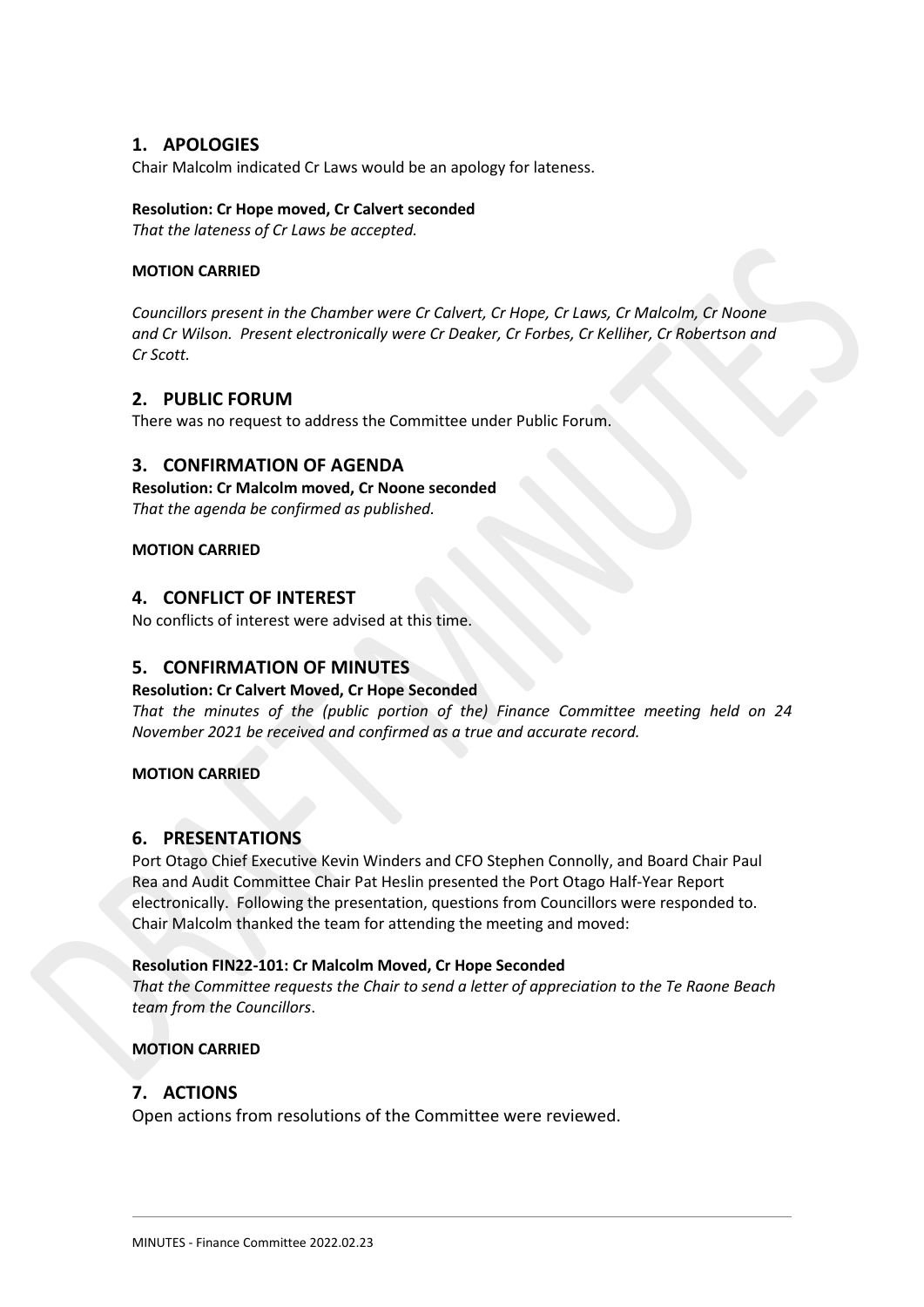## **1. APOLOGIES**

Chair Malcolm indicated Cr Laws would be an apology for lateness.

#### **Resolution: Cr Hope moved, Cr Calvert seconded**

*That the lateness of Cr Laws be accepted.*

## **MOTION CARRIED**

*Councillors present in the Chamber were Cr Calvert, Cr Hope, Cr Laws, Cr Malcolm, Cr Noone and Cr Wilson. Present electronically were Cr Deaker, Cr Forbes, Cr Kelliher, Cr Robertson and Cr Scott.*

## **2. PUBLIC FORUM**

There was no request to address the Committee under Public Forum.

## **3. CONFIRMATION OF AGENDA**

## **Resolution: Cr Malcolm moved, Cr Noone seconded**

*That the agenda be confirmed as published.*

## **MOTION CARRIED**

## **4. CONFLICT OF INTEREST**

No conflicts of interest were advised at this time.

## **5. CONFIRMATION OF MINUTES**

## **Resolution: Cr Calvert Moved, Cr Hope Seconded**

*That the minutes of the (public portion of the) Finance Committee meeting held on 24 November 2021 be received and confirmed as a true and accurate record.*

## **MOTION CARRIED**

## **6. PRESENTATIONS**

Port Otago Chief Executive Kevin Winders and CFO Stephen Connolly, and Board Chair Paul Rea and Audit Committee Chair Pat Heslin presented the Port Otago Half-Year Report electronically. Following the presentation, questions from Councillors were responded to. Chair Malcolm thanked the team for attending the meeting and moved:

## **Resolution FIN22-101: Cr Malcolm Moved, Cr Hope Seconded**

*That the Committee requests the Chair to send a letter of appreciation to the Te Raone Beach team from the Councillors*.

## **MOTION CARRIED**

## **7. ACTIONS**

Open actions from resolutions of the Committee were reviewed.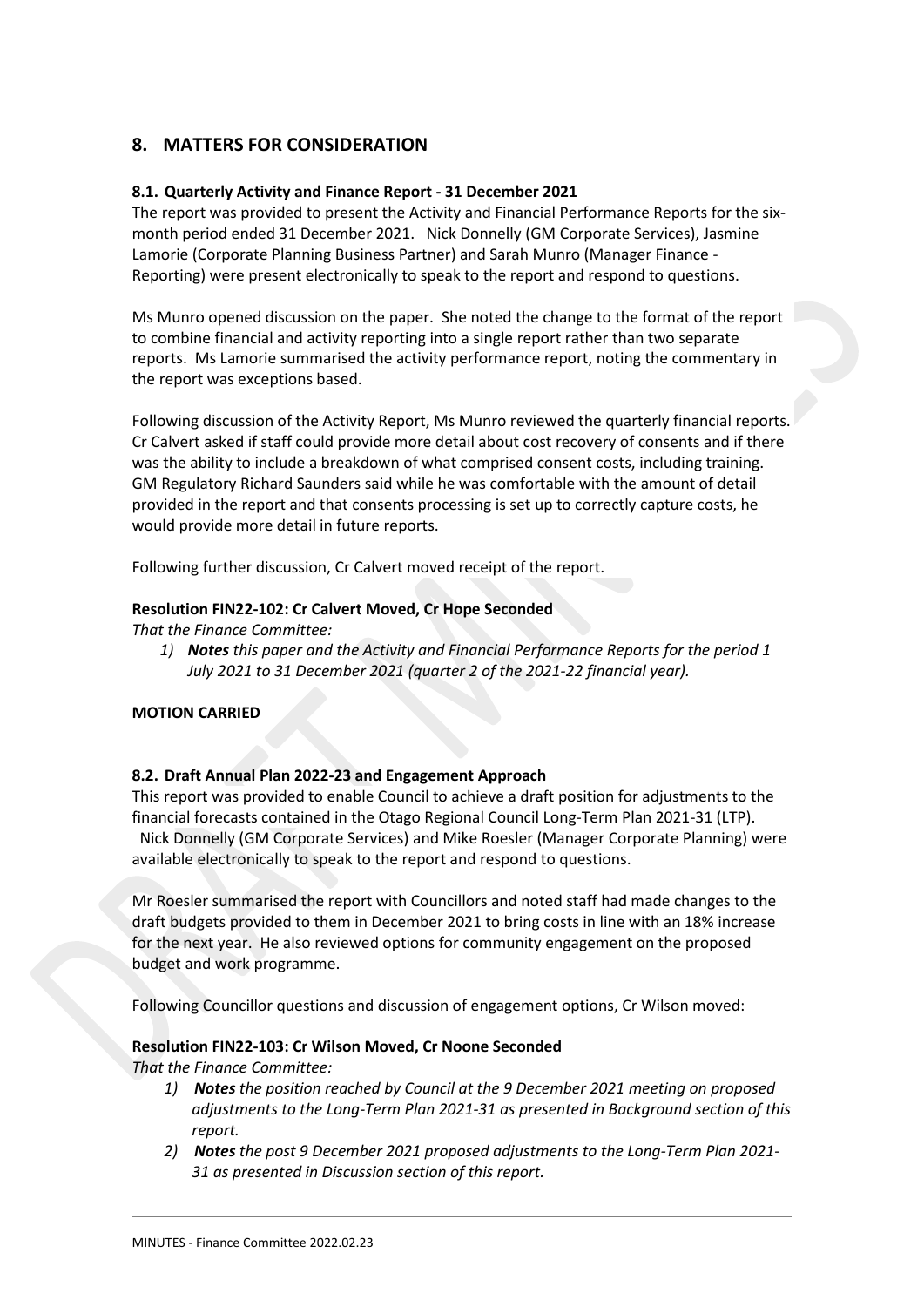# **8. MATTERS FOR CONSIDERATION**

## **8.1. Quarterly Activity and Finance Report - 31 December 2021**

The report was provided to present the Activity and Financial Performance Reports for the sixmonth period ended 31 December 2021. Nick Donnelly (GM Corporate Services), Jasmine Lamorie (Corporate Planning Business Partner) and Sarah Munro (Manager Finance - Reporting) were present electronically to speak to the report and respond to questions.

Ms Munro opened discussion on the paper. She noted the change to the format of the report to combine financial and activity reporting into a single report rather than two separate reports. Ms Lamorie summarised the activity performance report, noting the commentary in the report was exceptions based.

Following discussion of the Activity Report, Ms Munro reviewed the quarterly financial reports. Cr Calvert asked if staff could provide more detail about cost recovery of consents and if there was the ability to include a breakdown of what comprised consent costs, including training. GM Regulatory Richard Saunders said while he was comfortable with the amount of detail provided in the report and that consents processing is set up to correctly capture costs, he would provide more detail in future reports.

Following further discussion, Cr Calvert moved receipt of the report.

## **Resolution FIN22-102: Cr Calvert Moved, Cr Hope Seconded**

*That the Finance Committee:*

*1) Notes this paper and the Activity and Financial Performance Reports for the period 1 July 2021 to 31 December 2021 (quarter 2 of the 2021-22 financial year).*

## **MOTION CARRIED**

## **8.2. Draft Annual Plan 2022-23 and Engagement Approach**

This report was provided to enable Council to achieve a draft position for adjustments to the financial forecasts contained in the Otago Regional Council Long-Term Plan 2021-31 (LTP). Nick Donnelly (GM Corporate Services) and Mike Roesler (Manager Corporate Planning) were available electronically to speak to the report and respond to questions.

Mr Roesler summarised the report with Councillors and noted staff had made changes to the draft budgets provided to them in December 2021 to bring costs in line with an 18% increase for the next year. He also reviewed options for community engagement on the proposed budget and work programme.

Following Councillor questions and discussion of engagement options, Cr Wilson moved:

## **Resolution FIN22-103: Cr Wilson Moved, Cr Noone Seconded**

*That the Finance Committee:*

- *1) Notes the position reached by Council at the 9 December 2021 meeting on proposed adjustments to the Long-Term Plan 2021-31 as presented in Background section of this report.*
- *2) Notes the post 9 December 2021 proposed adjustments to the Long-Term Plan 2021- 31 as presented in Discussion section of this report.*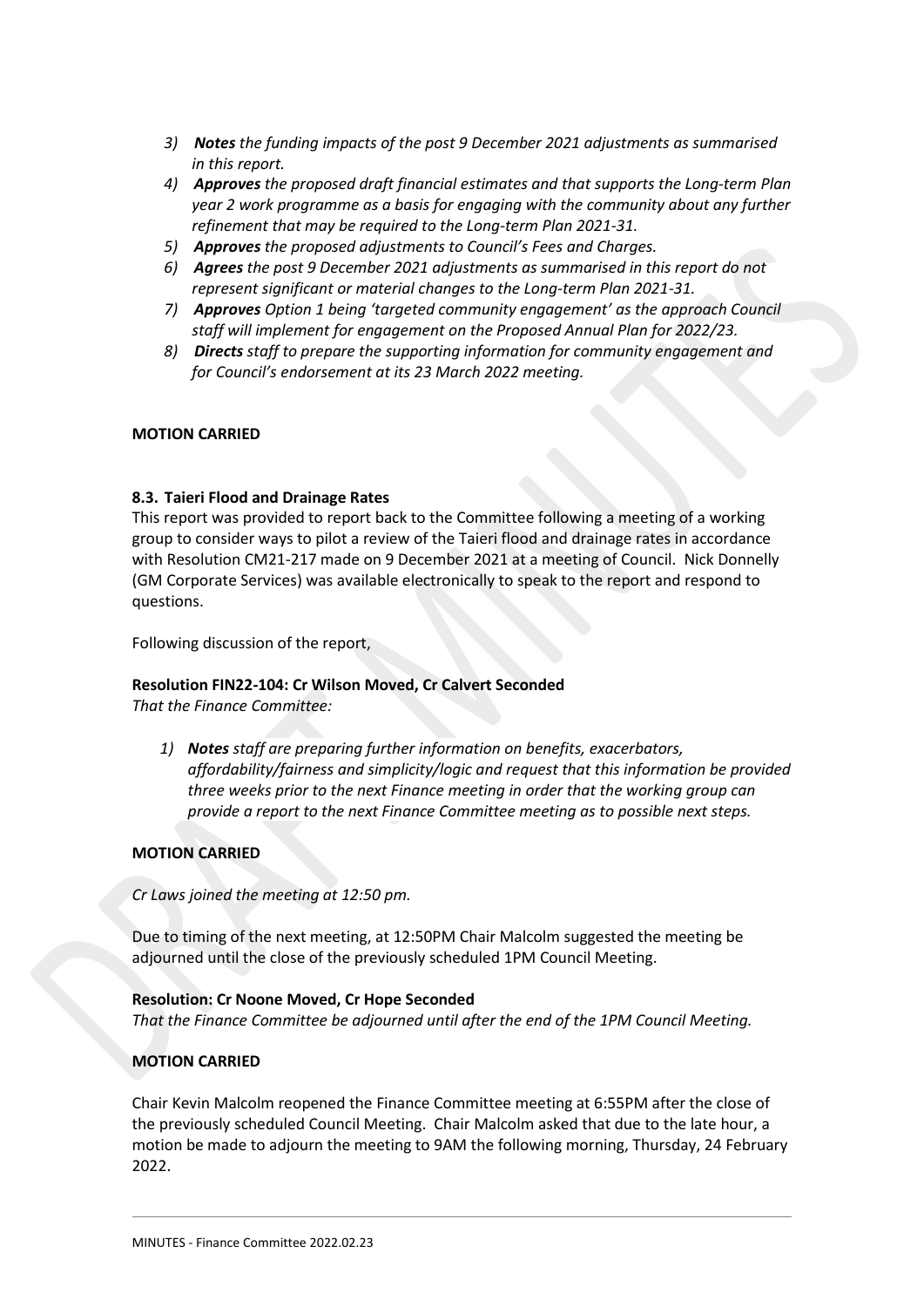- *3) Notes the funding impacts of the post 9 December 2021 adjustments as summarised in this report.*
- *4) Approves the proposed draft financial estimates and that supports the Long-term Plan year 2 work programme as a basis for engaging with the community about any further refinement that may be required to the Long-term Plan 2021-31.*
- *5) Approves the proposed adjustments to Council's Fees and Charges.*
- *6) Agrees the post 9 December 2021 adjustments as summarised in this report do not represent significant or material changes to the Long-term Plan 2021-31.*
- *7) Approves Option 1 being 'targeted community engagement' as the approach Council staff will implement for engagement on the Proposed Annual Plan for 2022/23.*
- *8) Directs staff to prepare the supporting information for community engagement and for Council's endorsement at its 23 March 2022 meeting.*

## **MOTION CARRIED**

## **8.3. Taieri Flood and Drainage Rates**

This report was provided to report back to the Committee following a meeting of a working group to consider ways to pilot a review of the Taieri flood and drainage rates in accordance with Resolution CM21-217 made on 9 December 2021 at a meeting of Council. Nick Donnelly (GM Corporate Services) was available electronically to speak to the report and respond to questions.

Following discussion of the report,

## **Resolution FIN22-104: Cr Wilson Moved, Cr Calvert Seconded**

*That the Finance Committee:*

*1) Notes staff are preparing further information on benefits, exacerbators, affordability/fairness and simplicity/logic and request that this information be provided three weeks prior to the next Finance meeting in order that the working group can provide a report to the next Finance Committee meeting as to possible next steps.*

## **MOTION CARRIED**

*Cr Laws joined the meeting at 12:50 pm.*

Due to timing of the next meeting, at 12:50PM Chair Malcolm suggested the meeting be adjourned until the close of the previously scheduled 1PM Council Meeting.

## **Resolution: Cr Noone Moved, Cr Hope Seconded**

*That the Finance Committee be adjourned until after the end of the 1PM Council Meeting.*

## **MOTION CARRIED**

Chair Kevin Malcolm reopened the Finance Committee meeting at 6:55PM after the close of the previously scheduled Council Meeting. Chair Malcolm asked that due to the late hour, a motion be made to adjourn the meeting to 9AM the following morning, Thursday, 24 February 2022.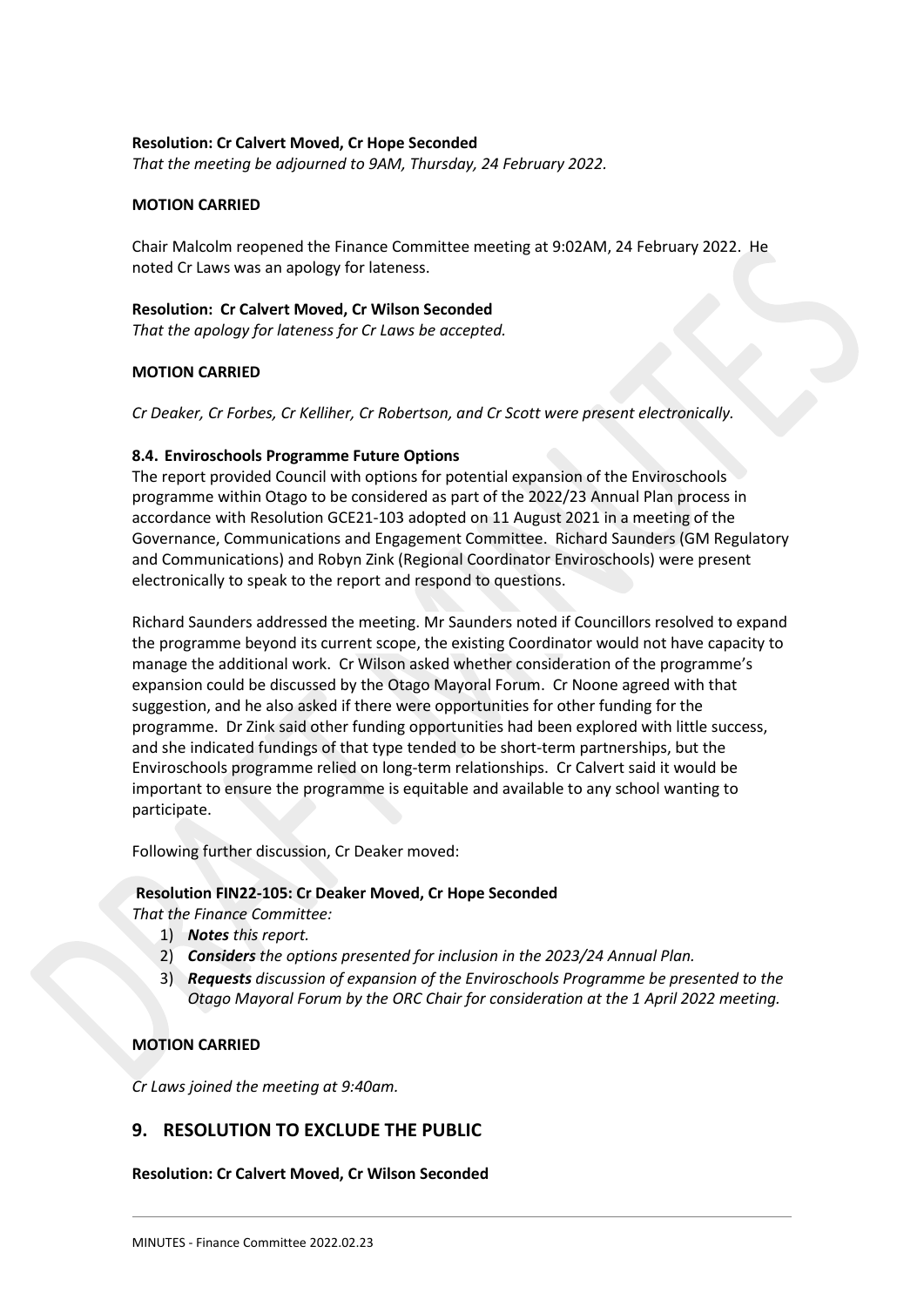#### **Resolution: Cr Calvert Moved, Cr Hope Seconded**

*That the meeting be adjourned to 9AM, Thursday, 24 February 2022.*

## **MOTION CARRIED**

Chair Malcolm reopened the Finance Committee meeting at 9:02AM, 24 February 2022. He noted Cr Laws was an apology for lateness.

#### **Resolution: Cr Calvert Moved, Cr Wilson Seconded**

*That the apology for lateness for Cr Laws be accepted.*

## **MOTION CARRIED**

*Cr Deaker, Cr Forbes, Cr Kelliher, Cr Robertson, and Cr Scott were present electronically.*

#### **8.4. Enviroschools Programme Future Options**

The report provided Council with options for potential expansion of the Enviroschools programme within Otago to be considered as part of the 2022/23 Annual Plan process in accordance with Resolution GCE21-103 adopted on 11 August 2021 in a meeting of the Governance, Communications and Engagement Committee. Richard Saunders (GM Regulatory and Communications) and Robyn Zink (Regional Coordinator Enviroschools) were present electronically to speak to the report and respond to questions.

Richard Saunders addressed the meeting. Mr Saunders noted if Councillors resolved to expand the programme beyond its current scope, the existing Coordinator would not have capacity to manage the additional work. Cr Wilson asked whether consideration of the programme's expansion could be discussed by the Otago Mayoral Forum. Cr Noone agreed with that suggestion, and he also asked if there were opportunities for other funding for the programme. Dr Zink said other funding opportunities had been explored with little success, and she indicated fundings of that type tended to be short-term partnerships, but the Enviroschools programme relied on long-term relationships. Cr Calvert said it would be important to ensure the programme is equitable and available to any school wanting to participate.

Following further discussion, Cr Deaker moved:

#### **Resolution FIN22-105: Cr Deaker Moved, Cr Hope Seconded**

*That the Finance Committee:*

- 1) *Notes this report.*
- 2) *Considers the options presented for inclusion in the 2023/24 Annual Plan.*
- 3) *Requests discussion of expansion of the Enviroschools Programme be presented to the Otago Mayoral Forum by the ORC Chair for consideration at the 1 April 2022 meeting.*

## **MOTION CARRIED**

*Cr Laws joined the meeting at 9:40am.*

## **9. RESOLUTION TO EXCLUDE THE PUBLIC**

#### **Resolution: Cr Calvert Moved, Cr Wilson Seconded**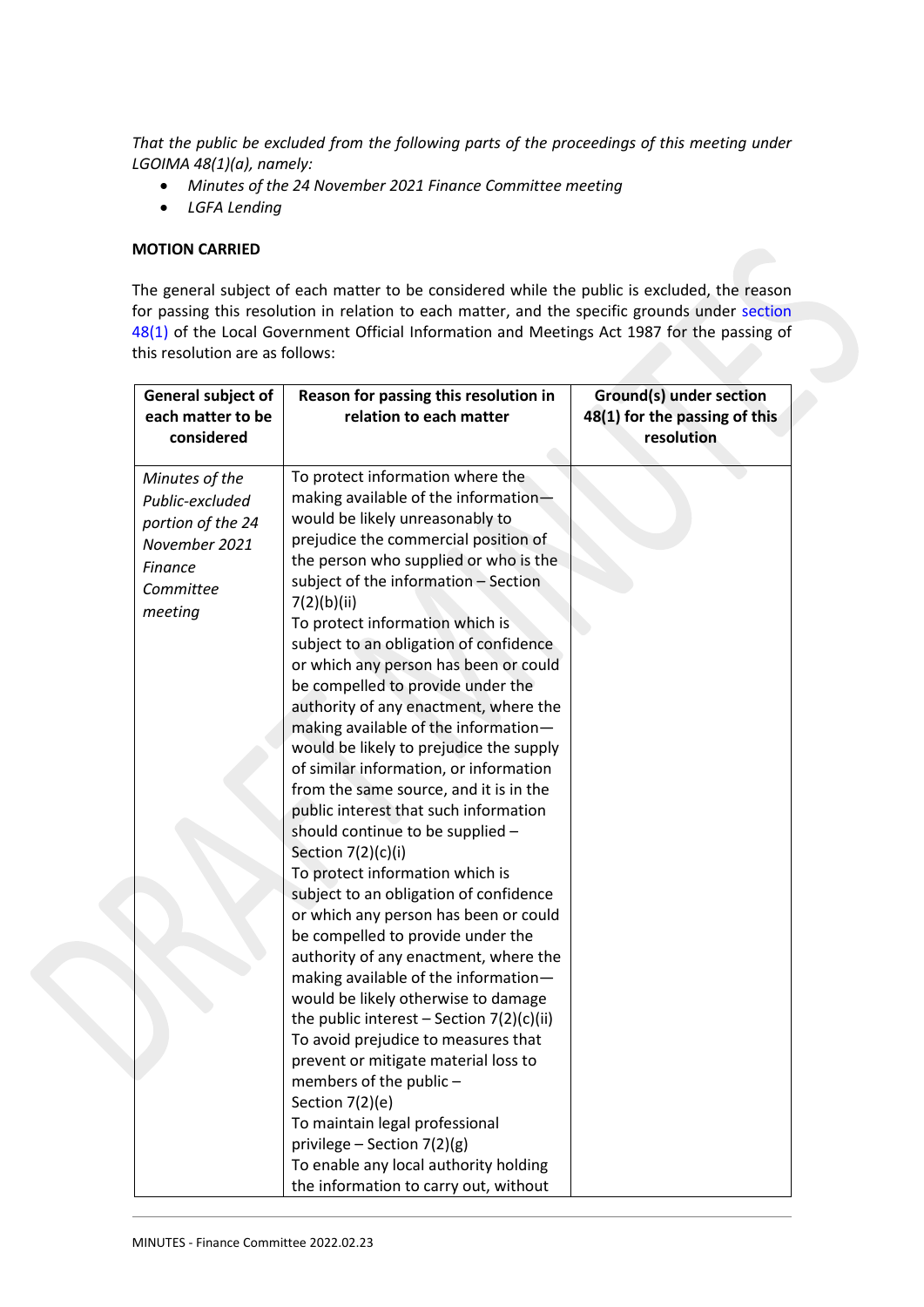*That the public be excluded from the following parts of the proceedings of this meeting under LGOIMA 48(1)(a), namely:*

- *Minutes of the 24 November 2021 Finance Committee meeting*
- *LGFA Lending*

## **MOTION CARRIED**

The general subject of each matter to be considered while the public is excluded, the reason for passing this resolution in relation to each matter, and the specific grounds under [section](http://www.legislation.govt.nz/act/public/1987/0174/latest/link.aspx?id=DLM123095#DLM123095)  [48\(1\)](http://www.legislation.govt.nz/act/public/1987/0174/latest/link.aspx?id=DLM123095#DLM123095) of the Local Government Official Information and Meetings Act 1987 for the passing of this resolution are as follows:

| General subject of<br>each matter to be<br>considered                                                             | Reason for passing this resolution in<br>relation to each matter                                                                                                                                                                                                                                                                                                                                                                                                                                                                                                                                                                                                                                                                                                                                                                                                                                                                                                                                                                                                                                                                                                                                                                                                                                           | <b>Ground(s) under section</b><br>48(1) for the passing of this<br>resolution |
|-------------------------------------------------------------------------------------------------------------------|------------------------------------------------------------------------------------------------------------------------------------------------------------------------------------------------------------------------------------------------------------------------------------------------------------------------------------------------------------------------------------------------------------------------------------------------------------------------------------------------------------------------------------------------------------------------------------------------------------------------------------------------------------------------------------------------------------------------------------------------------------------------------------------------------------------------------------------------------------------------------------------------------------------------------------------------------------------------------------------------------------------------------------------------------------------------------------------------------------------------------------------------------------------------------------------------------------------------------------------------------------------------------------------------------------|-------------------------------------------------------------------------------|
| Minutes of the<br>Public-excluded<br>portion of the 24<br>November 2021<br><b>Finance</b><br>Committee<br>meeting | To protect information where the<br>making available of the information-<br>would be likely unreasonably to<br>prejudice the commercial position of<br>the person who supplied or who is the<br>subject of the information - Section<br>7(2)(b)(ii)<br>To protect information which is<br>subject to an obligation of confidence<br>or which any person has been or could<br>be compelled to provide under the<br>authority of any enactment, where the<br>making available of the information-<br>would be likely to prejudice the supply<br>of similar information, or information<br>from the same source, and it is in the<br>public interest that such information<br>should continue to be supplied -<br>Section 7(2)(c)(i)<br>To protect information which is<br>subject to an obligation of confidence<br>or which any person has been or could<br>be compelled to provide under the<br>authority of any enactment, where the<br>making available of the information-<br>would be likely otherwise to damage<br>the public interest - Section 7(2)(c)(ii)<br>To avoid prejudice to measures that<br>prevent or mitigate material loss to<br>members of the public -<br>Section 7(2)(e)<br>To maintain legal professional<br>privilege - Section $7(2)(g)$<br>To enable any local authority holding |                                                                               |
|                                                                                                                   | the information to carry out, without                                                                                                                                                                                                                                                                                                                                                                                                                                                                                                                                                                                                                                                                                                                                                                                                                                                                                                                                                                                                                                                                                                                                                                                                                                                                      |                                                                               |